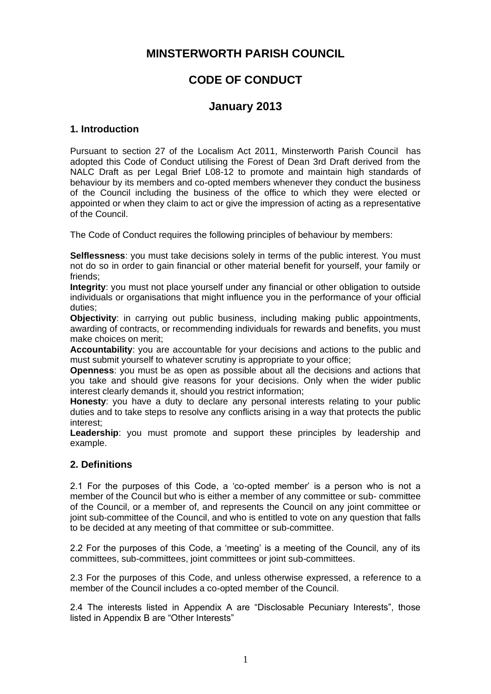# **MINSTERWORTH PARISH COUNCIL**

# **CODE OF CONDUCT**

## **January 2013**

## **1. Introduction**

Pursuant to section 27 of the Localism Act 2011, Minsterworth Parish Council has adopted this Code of Conduct utilising the Forest of Dean 3rd Draft derived from the NALC Draft as per Legal Brief L08-12 to promote and maintain high standards of behaviour by its members and co-opted members whenever they conduct the business of the Council including the business of the office to which they were elected or appointed or when they claim to act or give the impression of acting as a representative of the Council.

The Code of Conduct requires the following principles of behaviour by members:

**Selflessness**: you must take decisions solely in terms of the public interest. You must not do so in order to gain financial or other material benefit for yourself, your family or friends;

**Integrity**: you must not place yourself under any financial or other obligation to outside individuals or organisations that might influence you in the performance of your official duties;

**Objectivity**: in carrying out public business, including making public appointments, awarding of contracts, or recommending individuals for rewards and benefits, you must make choices on merit;

**Accountability**: you are accountable for your decisions and actions to the public and must submit yourself to whatever scrutiny is appropriate to your office;

**Openness**: you must be as open as possible about all the decisions and actions that you take and should give reasons for your decisions. Only when the wider public interest clearly demands it, should you restrict information;

**Honesty**: you have a duty to declare any personal interests relating to your public duties and to take steps to resolve any conflicts arising in a way that protects the public interest;

**Leadership**: you must promote and support these principles by leadership and example.

## **2. Definitions**

2.1 For the purposes of this Code, a 'co-opted member' is a person who is not a member of the Council but who is either a member of any committee or sub- committee of the Council, or a member of, and represents the Council on any joint committee or joint sub-committee of the Council, and who is entitled to vote on any question that falls to be decided at any meeting of that committee or sub-committee.

2.2 For the purposes of this Code, a 'meeting' is a meeting of the Council, any of its committees, sub-committees, joint committees or joint sub-committees.

2.3 For the purposes of this Code, and unless otherwise expressed, a reference to a member of the Council includes a co-opted member of the Council.

2.4 The interests listed in Appendix A are "Disclosable Pecuniary Interests", those listed in Appendix B are "Other Interests"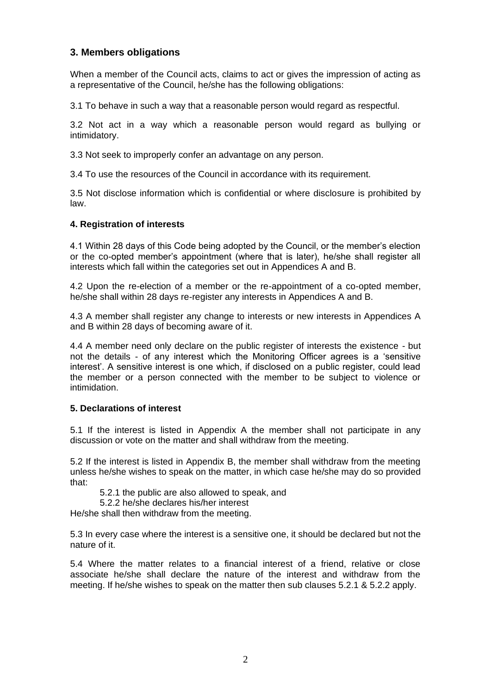## **3. Members obligations**

When a member of the Council acts, claims to act or gives the impression of acting as a representative of the Council, he/she has the following obligations:

3.1 To behave in such a way that a reasonable person would regard as respectful.

3.2 Not act in a way which a reasonable person would regard as bullying or intimidatory.

3.3 Not seek to improperly confer an advantage on any person.

3.4 To use the resources of the Council in accordance with its requirement.

3.5 Not disclose information which is confidential or where disclosure is prohibited by law.

## **4. Registration of interests**

4.1 Within 28 days of this Code being adopted by the Council, or the member's election or the co-opted member's appointment (where that is later), he/she shall register all interests which fall within the categories set out in Appendices A and B.

4.2 Upon the re-election of a member or the re-appointment of a co-opted member, he/she shall within 28 days re-register any interests in Appendices A and B.

4.3 A member shall register any change to interests or new interests in Appendices A and B within 28 days of becoming aware of it.

4.4 A member need only declare on the public register of interests the existence - but not the details - of any interest which the Monitoring Officer agrees is a 'sensitive interest'. A sensitive interest is one which, if disclosed on a public register, could lead the member or a person connected with the member to be subject to violence or intimidation.

#### **5. Declarations of interest**

5.1 If the interest is listed in Appendix A the member shall not participate in any discussion or vote on the matter and shall withdraw from the meeting.

5.2 If the interest is listed in Appendix B, the member shall withdraw from the meeting unless he/she wishes to speak on the matter, in which case he/she may do so provided that:

5.2.1 the public are also allowed to speak, and

5.2.2 he/she declares his/her interest

He/she shall then withdraw from the meeting.

5.3 In every case where the interest is a sensitive one, it should be declared but not the nature of it.

5.4 Where the matter relates to a financial interest of a friend, relative or close associate he/she shall declare the nature of the interest and withdraw from the meeting. If he/she wishes to speak on the matter then sub clauses 5.2.1 & 5.2.2 apply.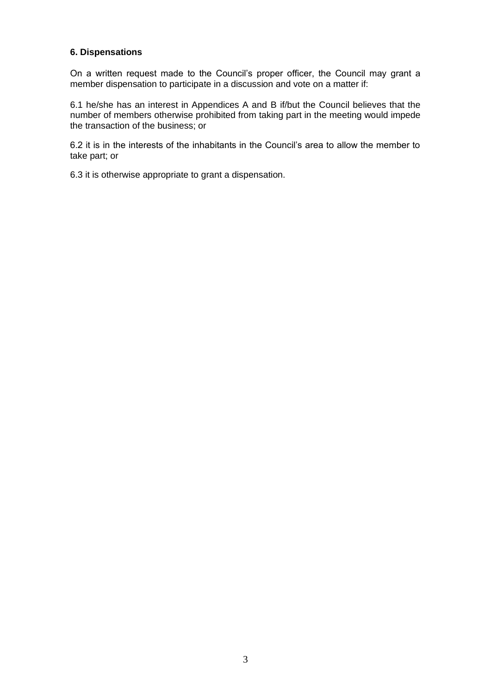## **6. Dispensations**

On a written request made to the Council's proper officer, the Council may grant a member dispensation to participate in a discussion and vote on a matter if:

6.1 he/she has an interest in Appendices A and B if/but the Council believes that the number of members otherwise prohibited from taking part in the meeting would impede the transaction of the business; or

6.2 it is in the interests of the inhabitants in the Council's area to allow the member to take part; or

6.3 it is otherwise appropriate to grant a dispensation.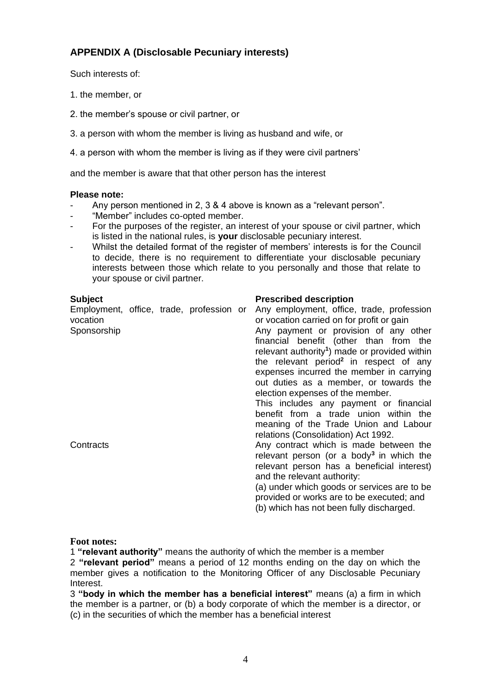## **APPENDIX A (Disclosable Pecuniary interests)**

Such interests of:

- 1. the member, or
- 2. the member's spouse or civil partner, or
- 3. a person with whom the member is living as husband and wife, or
- 4. a person with whom the member is living as if they were civil partners'

and the member is aware that that other person has the interest

## **Please note:**

- Any person mentioned in 2, 3 & 4 above is known as a "relevant person".
- "Member" includes co-opted member.
- For the purposes of the register, an interest of your spouse or civil partner, which is listed in the national rules, is **your** disclosable pecuniary interest.
- Whilst the detailed format of the register of members' interests is for the Council to decide, there is no requirement to differentiate your disclosable pecuniary interests between those which relate to you personally and those that relate to your spouse or civil partner.

## **Subject Prescribed description**

| <b>UUNICUL</b>                                                      |  |  | г гезеньеа асзенрасн                                                                                                                                                                                                                                                                                                                                                                                                                                                                                                                               |
|---------------------------------------------------------------------|--|--|----------------------------------------------------------------------------------------------------------------------------------------------------------------------------------------------------------------------------------------------------------------------------------------------------------------------------------------------------------------------------------------------------------------------------------------------------------------------------------------------------------------------------------------------------|
| Employment, office, trade, profession or<br>vocation<br>Sponsorship |  |  | Any employment, office, trade, profession<br>or vocation carried on for profit or gain<br>Any payment or provision of any other<br>financial benefit (other than from the<br>relevant authority <sup>1</sup> ) made or provided within<br>the relevant period <sup>2</sup> in respect of any<br>expenses incurred the member in carrying<br>out duties as a member, or towards the<br>election expenses of the member.<br>This includes any payment or financial<br>benefit from a trade union within the<br>meaning of the Trade Union and Labour |
| Contracts                                                           |  |  | relations (Consolidation) Act 1992.<br>Any contract which is made between the<br>relevant person (or a body <sup>3</sup> in which the<br>relevant person has a beneficial interest)<br>and the relevant authority:<br>(a) under which goods or services are to be<br>provided or works are to be executed; and<br>(b) which has not been fully discharged.                                                                                                                                                                                         |

## **Foot notes:**

1 **"relevant authority"** means the authority of which the member is a member

2 **"relevant period"** means a period of 12 months ending on the day on which the member gives a notification to the Monitoring Officer of any Disclosable Pecuniary Interest.

3 **"body in which the member has a beneficial interest"** means (a) a firm in which the member is a partner, or (b) a body corporate of which the member is a director, or (c) in the securities of which the member has a beneficial interest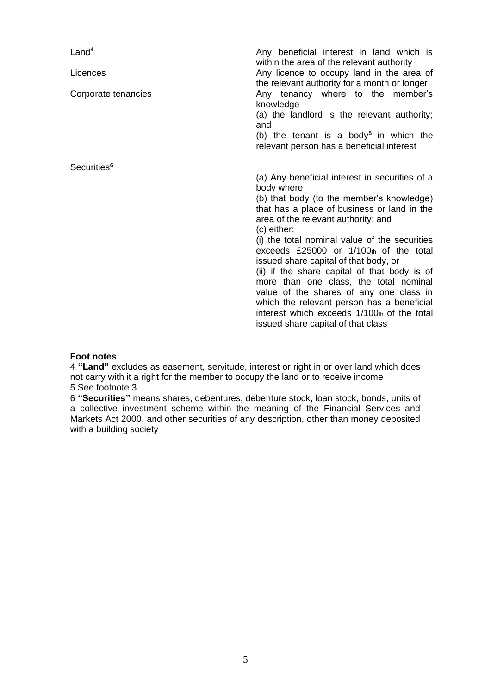| Land <sup>4</sup><br>Licences | Any beneficial interest in land which is<br>within the area of the relevant authority<br>Any licence to occupy land in the area of<br>the relevant authority for a month or longer                                                                                                                                                                                                                                                                                                                                                                                                                                             |
|-------------------------------|--------------------------------------------------------------------------------------------------------------------------------------------------------------------------------------------------------------------------------------------------------------------------------------------------------------------------------------------------------------------------------------------------------------------------------------------------------------------------------------------------------------------------------------------------------------------------------------------------------------------------------|
| Corporate tenancies           | Any tenancy where to the member's<br>knowledge<br>(a) the landlord is the relevant authority;<br>and<br>(b) the tenant is a body <sup>5</sup> in which the<br>relevant person has a beneficial interest                                                                                                                                                                                                                                                                                                                                                                                                                        |
| Securities <sup>6</sup>       |                                                                                                                                                                                                                                                                                                                                                                                                                                                                                                                                                                                                                                |
|                               | (a) Any beneficial interest in securities of a<br>body where<br>(b) that body (to the member's knowledge)<br>that has a place of business or land in the<br>area of the relevant authority; and<br>(c) either:<br>(i) the total nominal value of the securities<br>exceeds $£25000$ or $1/100th$ of the total<br>issued share capital of that body, or<br>(ii) if the share capital of that body is of<br>more than one class, the total nominal<br>value of the shares of any one class in<br>which the relevant person has a beneficial<br>interest which exceeds 1/100th of the total<br>issued share capital of that class |

## **Foot notes**:

4 **"Land"** excludes as easement, servitude, interest or right in or over land which does not carry with it a right for the member to occupy the land or to receive income 5 See footnote 3

6 **"Securities"** means shares, debentures, debenture stock, loan stock, bonds, units of a collective investment scheme within the meaning of the Financial Services and Markets Act 2000, and other securities of any description, other than money deposited with a building society